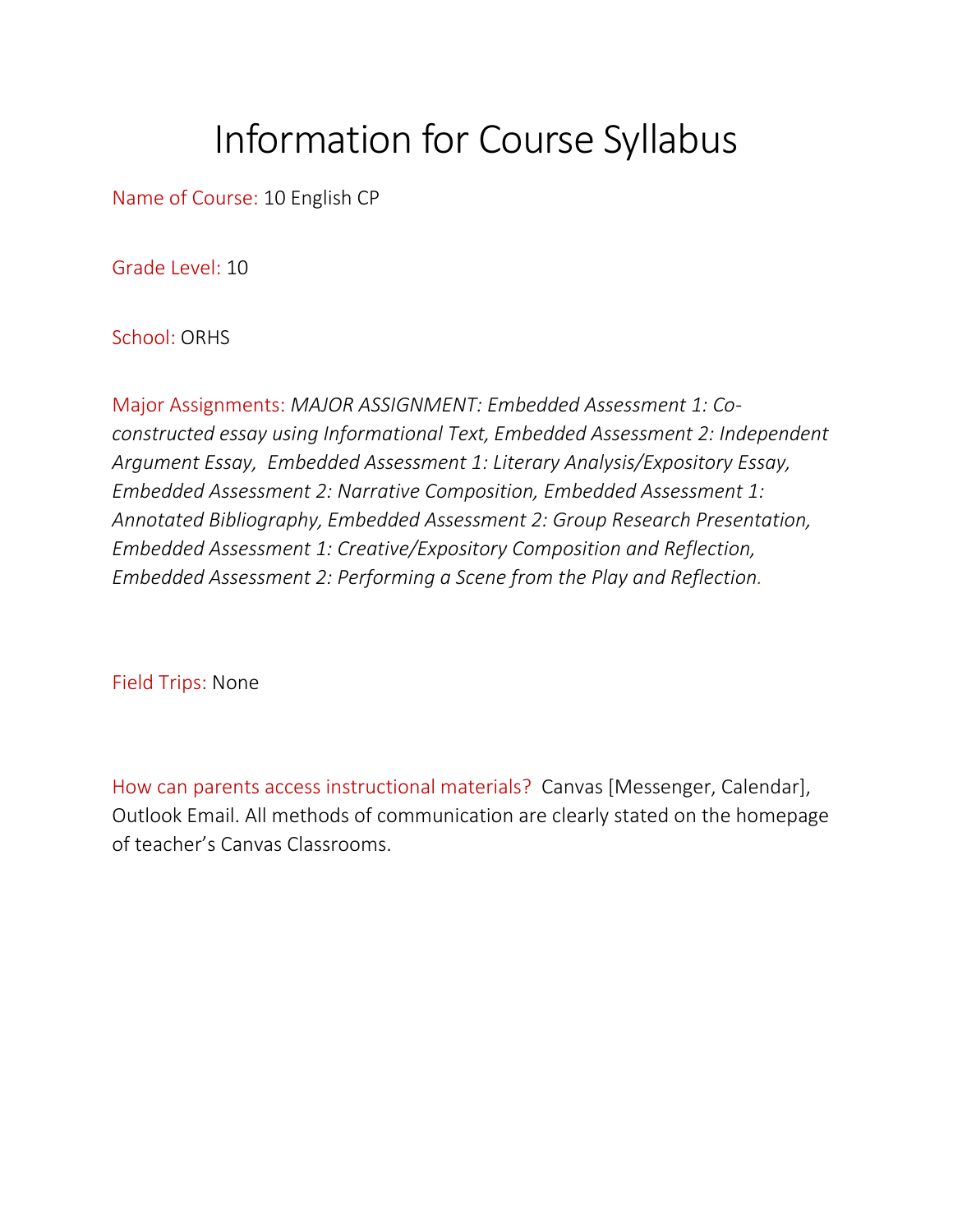## Information for Course Syllabus

Name of Course: 10 English CP

Grade Level: 10

School: ORHS

Major Assignments: *MAJOR ASSIGNMENT: Embedded Assessment 1: Coconstructed essay using Informational Text, Embedded Assessment 2: Independent Argument Essay, Embedded Assessment 1: Literary Analysis/Expository Essay, Embedded Assessment 2: Narrative Composition, Embedded Assessment 1: Annotated Bibliography, Embedded Assessment 2: Group Research Presentation, Embedded Assessment 1: Creative/Expository Composition and Reflection, Embedded Assessment 2: Performing a Scene from the Play and Reflection.* 

Field Trips: None

How can parents access instructional materials? Canvas [Messenger, Calendar], Outlook Email. All methods of communication are clearly stated on the homepage of teacher's Canvas Classrooms.